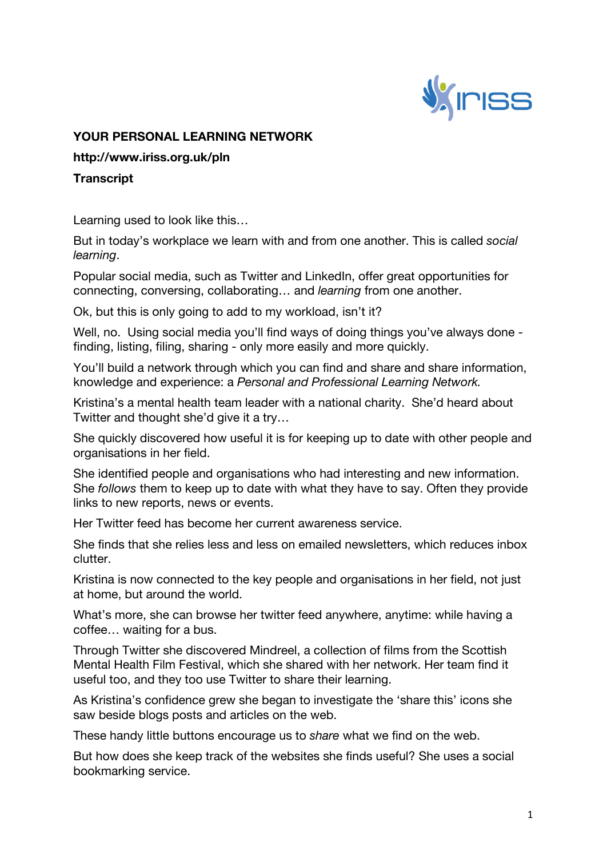

## **YOUR PERSONAL LEARNING NETWORK**

**http://www.iriss.org.uk/pln**

## **Transcript**

Learning used to look like this…

But in today's workplace we learn with and from one another. This is called *social learning*.

Popular social media, such as Twitter and LinkedIn, offer great opportunities for connecting, conversing, collaborating… and *learning* from one another.

Ok, but this is only going to add to my workload, isn't it?

Well, no. Using social media you'll find ways of doing things you've always done finding, listing, filing, sharing - only more easily and more quickly.

You'll build a network through which you can find and share and share information, knowledge and experience: a *Personal and Professional Learning Network.*

Kristina's a mental health team leader with a national charity. She'd heard about Twitter and thought she'd give it a try…

She quickly discovered how useful it is for keeping up to date with other people and organisations in her field.

She identified people and organisations who had interesting and new information. She *follows* them to keep up to date with what they have to say. Often they provide links to new reports, news or events.

Her Twitter feed has become her current awareness service.

She finds that she relies less and less on emailed newsletters, which reduces inbox clutter.

Kristina is now connected to the key people and organisations in her field, not just at home, but around the world.

What's more, she can browse her twitter feed anywhere, anytime: while having a coffee… waiting for a bus.

Through Twitter she discovered Mindreel, a collection of films from the Scottish Mental Health Film Festival, which she shared with her network. Her team find it useful too, and they too use Twitter to share their learning.

As Kristina's confidence grew she began to investigate the 'share this' icons she saw beside blogs posts and articles on the web.

These handy little buttons encourage us to *share* what we find on the web.

But how does she keep track of the websites she finds useful? She uses a social bookmarking service.